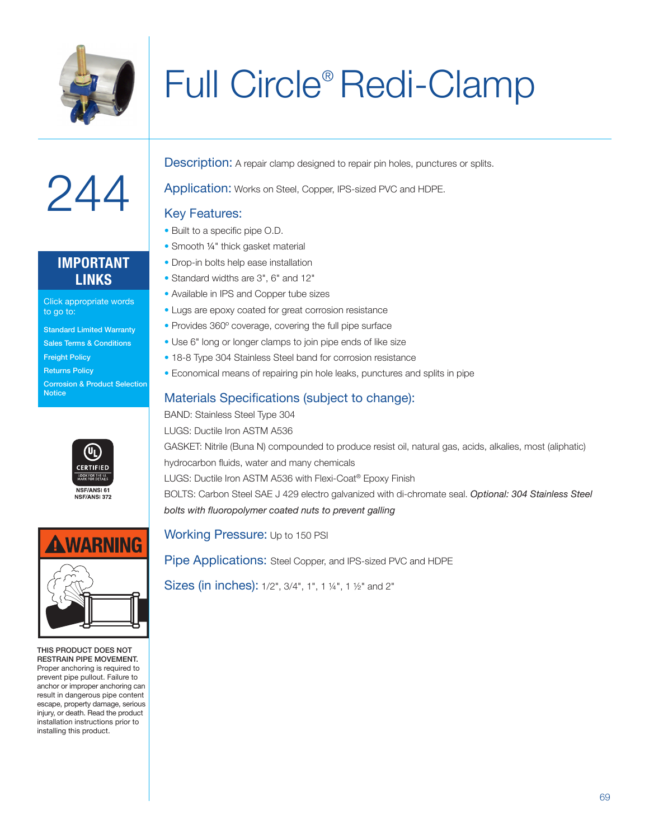

# Full Circle® Redi-Clamp



## **IMPORTANT LINKS**

Click appropriate words to go to:

- Standard Limited Warranty
- Sales Terms & Conditions
- Freight Policy

**Notice** 

Returns Policy Corrosion & Product Selection





THIS PRODUCT DOES NOT RESTRAIN PIPE MOVEMENT. Proper anchoring is required to prevent pipe pullout. Failure to anchor or improper anchoring can result in dangerous pipe content escape, property damage, serious injury, or death. Read the product installation instructions prior to installing this product.

**Description:** A repair clamp designed to repair pin holes, punctures or splits.

Application: Works on Steel, Copper, IPS-sized PVC and HDPE.

#### Key Features:

- Built to a specific pipe O.D.
- Smooth 1/4" thick gasket material
- Drop-in bolts help ease installation
- Standard widths are 3", 6" and 12"
- Available in IPS and Copper tube sizes
- Lugs are epoxy coated for great corrosion resistance
- Provides 360º coverage, covering the full pipe surface
- Use 6" long or longer clamps to join pipe ends of like size
- 18-8 Type 304 Stainless Steel band for corrosion resistance
- Economical means of repairing pin hole leaks, punctures and splits in pipe

## Materials Specifications (subject to change):

BAND: Stainless Steel Type 304 LUGS: Ductile Iron ASTM A536 GASKET: Nitrile (Buna N) compounded to produce resist oil, natural gas, acids, alkalies, most (aliphatic) hydrocarbon fluids, water and many chemicals LUGS: Ductile Iron ASTM A536 with Flexi-Coat® Epoxy Finish BOLTS: Carbon Steel SAE J 429 electro galvanized with di-chromate seal. *Optional: 304 Stainless Steel bolts with fluoropolymer coated nuts to prevent galling*

Working Pressure: Up to 150 PSI

Pipe Applications: Steel Copper, and IPS-sized PVC and HDPE

Sizes (in inches): 1/2", 3/4", 1", 1 ¼", 1 ½" and 2"